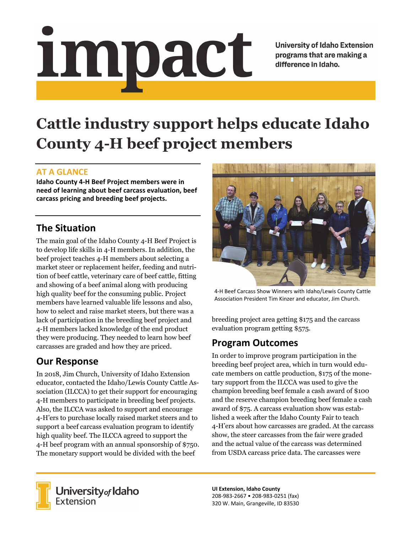# Impact

**University of Idaho Extension** programs that are making a difference in Idaho.

# **Cattle industry support helps educate Idaho County 4-H beef project members**

### **AT A GLANCE**

**Idaho County 4‐H Beef Project members were in need of learning about beef carcass evaluation, beef carcass pricing and breeding beef projects.**

## **The Situation**

The main goal of the Idaho County 4-H Beef Project is to develop life skills in 4-H members. In addition, the beef project teaches 4-H members about selecting a market steer or replacement heifer, feeding and nutrition of beef cattle, veterinary care of beef cattle, fitting and showing of a beef animal along with producing high quality beef for the consuming public. Project members have learned valuable life lessons and also, how to select and raise market steers, but there was a lack of participation in the breeding beef project and 4-H members lacked knowledge of the end product they were producing. They needed to learn how beef carcasses are graded and how they are priced.

# **Our Response**

In 2018, Jim Church, University of Idaho Extension educator, contacted the Idaho/Lewis County Cattle Association (ILCCA) to get their support for encouraging 4-H members to participate in breeding beef projects. Also, the ILCCA was asked to support and encourage 4-H'ers to purchase locally raised market steers and to support a beef carcass evaluation program to identify high quality beef. The ILCCA agreed to support the 4-H beef program with an annual sponsorship of \$750. The monetary support would be divided with the beef



4‐H Beef Carcass Show Winners with Idaho/Lewis County Cattle Association President Tim Kinzer and educator, Jim Church.

breeding project area getting \$175 and the carcass evaluation program getting \$575.

### **Program Outcomes**

In order to improve program participation in the breeding beef project area, which in turn would educate members on cattle production, \$175 of the monetary support from the ILCCA was used to give the champion breeding beef female a cash award of \$100 and the reserve champion breeding beef female a cash award of \$75. A carcass evaluation show was established a week after the Idaho County Fair to teach 4-H'ers about how carcasses are graded. At the carcass show, the steer carcasses from the fair were graded and the actual value of the carcass was determined from USDA carcass price data. The carcasses were



University of Idaho<br>Extension

**UI Extension, Idaho County** 208‐983‐2667 • 208‐983‐0251 (fax) 320 W. Main, Grangeville, ID 83530